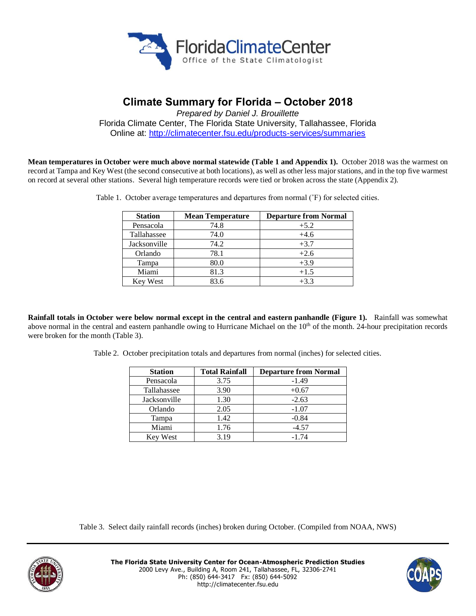

# **Climate Summary for Florida – October 2018**

*Prepared by Daniel J. Brouillette* Florida Climate Center, The Florida State University, Tallahassee, Florida Online at:<http://climatecenter.fsu.edu/products-services/summaries>

**Mean temperatures in October were much above normal statewide (Table 1 and Appendix 1).** October 2018 was the warmest on record at Tampa and Key West (the second consecutive at both locations), as well as other less major stations, and in the top five warmest on record at several other stations. Several high temperature records were tied or broken across the state (Appendix 2).

| Table 1. October average temperatures and departures from normal (°F) for selected cities |  |
|-------------------------------------------------------------------------------------------|--|
|                                                                                           |  |

| <b>Station</b>  | <b>Mean Temperature</b> | <b>Departure from Normal</b> |
|-----------------|-------------------------|------------------------------|
| Pensacola       | 74.8                    | $+5.2$                       |
| Tallahassee     | 74.0                    | $+4.6$                       |
| Jacksonville    | 74.2                    | $+3.7$                       |
| Orlando         | 78.1                    | $+2.6$                       |
| Tampa           | 80.0                    | $+3.9$                       |
| Miami           | 81.3                    | $+1.5$                       |
| <b>Key West</b> | 83.6                    | $+3.3$                       |

**Rainfall totals in October were below normal except in the central and eastern panhandle (Figure 1).** Rainfall was somewhat above normal in the central and eastern panhandle owing to Hurricane Michael on the  $10<sup>th</sup>$  of the month. 24-hour precipitation records were broken for the month (Table 3).

Table 2. October precipitation totals and departures from normal (inches) for selected cities.

| <b>Station</b>  | <b>Total Rainfall</b> | <b>Departure from Normal</b> |
|-----------------|-----------------------|------------------------------|
| Pensacola       | 3.75                  | $-1.49$                      |
| Tallahassee     | 3.90                  | $+0.67$                      |
| Jacksonville    | 1.30                  | $-2.63$                      |
| Orlando         | 2.05                  | $-1.07$                      |
| Tampa           | 1.42                  | $-0.84$                      |
| Miami           | 1.76                  | $-4.57$                      |
| <b>Key West</b> | 3.19                  | $-1.74$                      |

Table 3. Select daily rainfall records (inches) broken during October. (Compiled from NOAA, NWS)



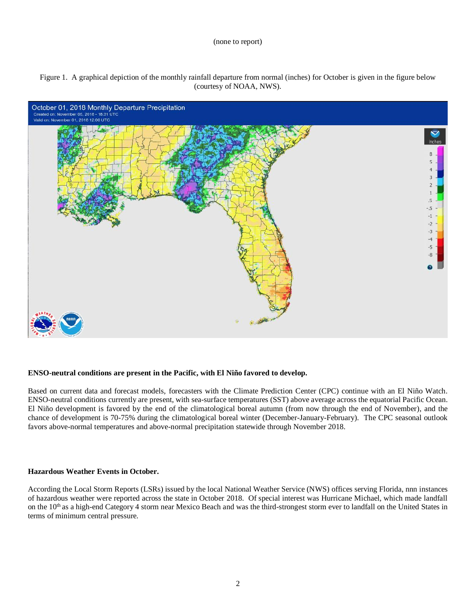#### (none to report)





## **ENSO-neutral conditions are present in the Pacific, with El Niño favored to develop.**

Based on current data and forecast models, forecasters with the Climate Prediction Center (CPC) continue with an El Niño Watch. ENSO-neutral conditions currently are present, with sea-surface temperatures (SST) above average across the equatorial Pacific Ocean. El Niño development is favored by the end of the climatological boreal autumn (from now through the end of November), and the chance of development is 70-75% during the climatological boreal winter (December-January-February). The CPC seasonal outlook favors above-normal temperatures and above-normal precipitation statewide through November 2018.

## **Hazardous Weather Events in October.**

According the Local Storm Reports (LSRs) issued by the local National Weather Service (NWS) offices serving Florida, nnn instances of hazardous weather were reported across the state in October 2018. Of special interest was Hurricane Michael, which made landfall on the 10<sup>th</sup> as a high-end Category 4 storm near Mexico Beach and was the third-strongest storm ever to landfall on the United States in terms of minimum central pressure.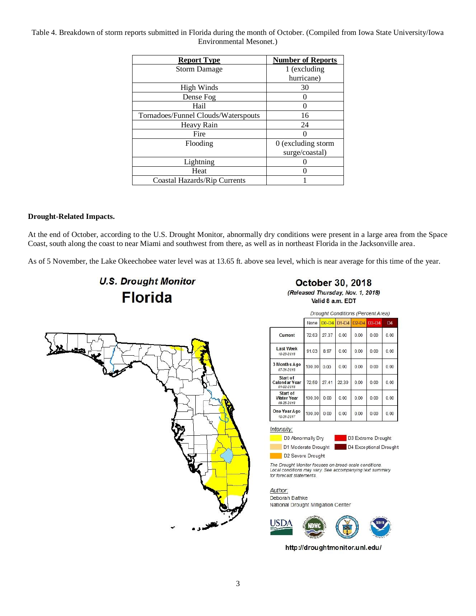# Table 4. Breakdown of storm reports submitted in Florida during the month of October. (Compiled from Iowa State University/Iowa Environmental Mesonet.)

| <b>Report Type</b>                  | <b>Number of Reports</b> |  |  |
|-------------------------------------|--------------------------|--|--|
| <b>Storm Damage</b>                 | 1 (excluding             |  |  |
|                                     | hurricane)               |  |  |
| High Winds                          | 30                       |  |  |
| Dense Fog                           |                          |  |  |
| Hail                                |                          |  |  |
| Tornadoes/Funnel Clouds/Waterspouts | 16                       |  |  |
| Heavy Rain                          | 24                       |  |  |
| Fire                                |                          |  |  |
| Flooding                            | 0 (excluding storm       |  |  |
|                                     | surge/coastal)           |  |  |
| Lightning                           |                          |  |  |
| Heat                                |                          |  |  |
| Coastal Hazards/Rip Currents        |                          |  |  |

# **Drought-Related Impacts.**

At the end of October, according to the U.S. Drought Monitor, abnormally dry conditions were present in a large area from the Space Coast, south along the coast to near Miami and southwest from there, as well as in northeast Florida in the Jacksonville area.

As of 5 November, the Lake Okeechobee water level was at 13.65 ft. above sea level, which is near average for this time of the year.

# **U.S. Drought Monitor Florida**

October 30, 2018

(Released Thursday, Nov. 1, 2018) Valid 8 a.m. EDT



|                                             | <b>Drought Conditions (Percent Area)</b> |         |         |         |         |                |
|---------------------------------------------|------------------------------------------|---------|---------|---------|---------|----------------|
|                                             | None                                     | $D0-D4$ | $DI-D4$ | $D2-D4$ | $D3-D4$ | D <sub>4</sub> |
| Current                                     | 72.63                                    | 27.37   | 0.00    | 0.00    | 0.00    | 0.00           |
| <b>Last Week</b><br>10-23-2018              | 91.03                                    | 8.97    | 0.00    | 0.00    | 0.00    | 0.00           |
| 3 Months Ago<br>07-31-2018                  | 100.00                                   | 0.00    | 0.00    | 0.00    | 0.00    | 0.00           |
| Start of<br>Calendar Year<br>01-02-2018     | 72.59                                    | 27.41   | 22.39   | 0.00    | 0.00    | 0.00           |
| Start of<br><b>Water Year</b><br>09-25-2018 | 100.00                                   | 0.00    | 0.00    | 0.00    | 0.00    | 0.00           |
| One Year Ago<br>10-31-2017                  | 100.00                                   | 0.00    | 0.00    | 0.00    | 0.00    | 0.00           |

## Intensity:



D3 Extreme Drought D4 Exceptional Drought

D2 Severe Drought The Drought Monitor focuses on broad-scale conditions.

Local conditions may vary. See accompanying text summary for forecast statements.

Author: Deborah Bathke National Drought Mitigation Center



http://droughtmonitor.unl.edu/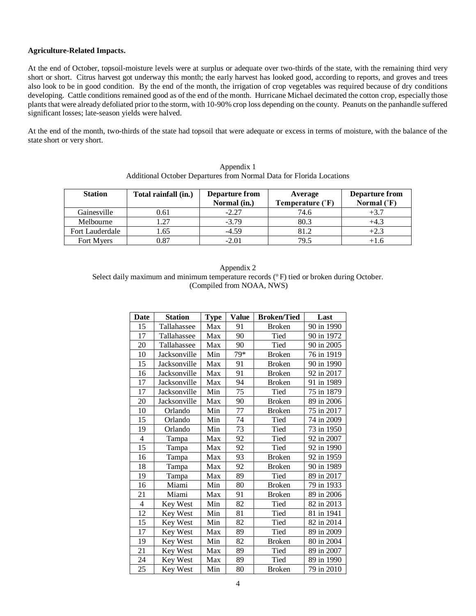# **Agriculture-Related Impacts.**

At the end of October, topsoil-moisture levels were at surplus or adequate over two-thirds of the state, with the remaining third very short or short. Citrus harvest got underway this month; the early harvest has looked good, according to reports, and groves and trees also look to be in good condition. By the end of the month, the irrigation of crop vegetables was required because of dry conditions developing. Cattle conditions remained good as of the end of the month. Hurricane Michael decimated the cotton crop, especially those plants that were already defoliated prior to the storm, with 10-90% crop loss depending on the county. Peanuts on the panhandle suffered significant losses; late-season yields were halved.

At the end of the month, two-thirds of the state had topsoil that were adequate or excess in terms of moisture, with the balance of the state short or very short.

| <b>Station</b>  | Total rainfall (in.) | <b>Departure from</b><br>Normal (in.) | Average<br>Temperature (°F) | Departure from<br>Normal $(^{\circ}F)$ |
|-----------------|----------------------|---------------------------------------|-----------------------------|----------------------------------------|
| Gainesville     | 0.61                 | $-2.27$                               | 74.6                        |                                        |
| Melbourne       |                      | $-3.79$                               | 80.3                        | +4.3                                   |
| Fort Lauderdale | 1.65                 | $-4.59$                               | 81.2                        |                                        |
| Fort Myers      |                      | $-2.01$                               | 79.5                        |                                        |

Appendix 1 Additional October Departures from Normal Data for Florida Locations

| Appendix 2                                                                                 |
|--------------------------------------------------------------------------------------------|
| Select daily maximum and minimum temperature records $(°F)$ tied or broken during October. |
| (Compiled from NOAA, NWS)                                                                  |

| Date | <b>Station</b> | <b>Type</b> | <b>Value</b> | <b>Broken/Tied</b> | Last       |
|------|----------------|-------------|--------------|--------------------|------------|
| 15   | Tallahassee    | Max         | 91           | <b>Broken</b>      | 90 in 1990 |
| 17   | Tallahassee    | Max         | 90           | Tied               | 90 in 1972 |
| 20   | Tallahassee    | Max         | 90           | Tied               | 90 in 2005 |
| 10   | Jacksonville   | Min         | 79*          | <b>Broken</b>      | 76 in 1919 |
| 15   | Jacksonville   | Max         | 91           | <b>Broken</b>      | 90 in 1990 |
| 16   | Jacksonville   | Max         | 91           | <b>Broken</b>      | 92 in 2017 |
| 17   | Jacksonville   | Max         | 94           | <b>Broken</b>      | 91 in 1989 |
| 17   | Jacksonville   | Min         | 75           | Tied               | 75 in 1879 |
| 20   | Jacksonville   | Max         | 90           | <b>Broken</b>      | 89 in 2006 |
| 10   | Orlando        | Min         | 77           | <b>Broken</b>      | 75 in 2017 |
| 15   | Orlando        | Min         | 74           | Tied               | 74 in 2009 |
| 19   | Orlando        | Min         | 73           | Tied               | 73 in 1950 |
| 4    | Tampa          | Max         | 92           | Tied               | 92 in 2007 |
| 15   | Tampa          | Max         | 92           | Tied               | 92 in 1990 |
| 16   | Tampa          | Max         | 93           | <b>Broken</b>      | 92 in 1959 |
| 18   | Tampa          | Max         | 92           | <b>Broken</b>      | 90 in 1989 |
| 19   | Tampa          | Max         | 89           | Tied               | 89 in 2017 |
| 16   | Miami          | Min         | 80           | <b>Broken</b>      | 79 in 1933 |
| 21   | Miami          | Max         | 91           | <b>Broken</b>      | 89 in 2006 |
| 4    | Key West       | Min         | 82           | Tied               | 82 in 2013 |
| 12   | Key West       | Min         | 81           | Tied               | 81 in 1941 |
| 15   | Key West       | Min         | 82           | Tied               | 82 in 2014 |
| 17   | Key West       | Max         | 89           | Tied               | 89 in 2009 |
| 19   | Key West       | Min         | 82           | <b>Broken</b>      | 80 in 2004 |
| 21   | Key West       | Max         | 89           | Tied               | 89 in 2007 |
| 24   | Key West       | Max         | 89           | Tied               | 89 in 1990 |
| 25   | Key West       | Min         | 80           | <b>Broken</b>      | 79 in 2010 |